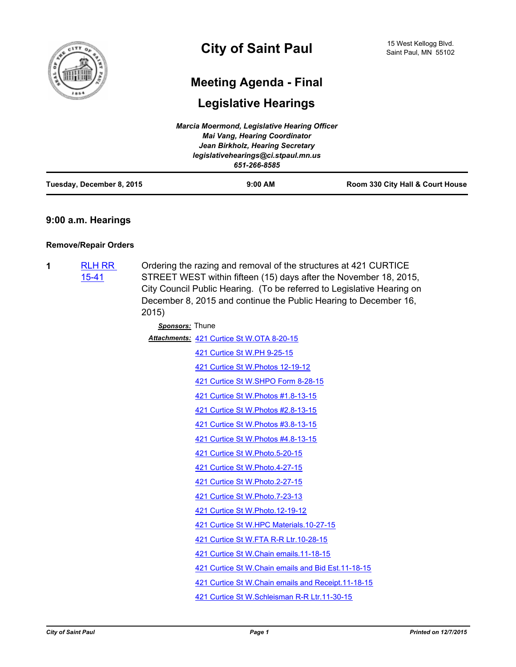

# **Meeting Agenda - Final**

# **Legislative Hearings**

|                           | Marcia Moermond, Legislative Hearing Officer |                                  |
|---------------------------|----------------------------------------------|----------------------------------|
|                           | <b>Mai Vang, Hearing Coordinator</b>         |                                  |
|                           | Jean Birkholz, Hearing Secretary             |                                  |
|                           | legislativehearings@ci.stpaul.mn.us          |                                  |
|                           | 651-266-8585                                 |                                  |
| Tuesday, December 8, 2015 | $9:00$ AM                                    | Room 330 City Hall & Court House |

# **9:00 a.m. Hearings**

# **Remove/Repair Orders**

**1** [RLH RR](http://stpaul.legistar.com/gateway.aspx?m=l&id=/matter.aspx?key=19851)  15-41 Ordering the razing and removal of the structures at 421 CURTICE STREET WEST within fifteen (15) days after the November 18, 2015, City Council Public Hearing. (To be referred to Legislative Hearing on December 8, 2015 and continue the Public Hearing to December 16, 2015)

| Sponsors: Thune |                                                      |
|-----------------|------------------------------------------------------|
|                 | Attachments: 421 Curtice St W.OTA 8-20-15            |
|                 | 421 Curtice St W.PH 9-25-15                          |
|                 | 421 Curtice St W. Photos 12-19-12                    |
|                 | 421 Curtice St W.SHPO Form 8-28-15                   |
|                 | 421 Curtice St W. Photos #1.8-13-15                  |
|                 | 421 Curtice St W.Photos #2.8-13-15                   |
|                 | 421 Curtice St W.Photos #3.8-13-15                   |
|                 | 421 Curtice St W.Photos #4.8-13-15                   |
|                 | 421 Curtice St W. Photo. 5-20-15                     |
|                 | 421 Curtice St W.Photo.4-27-15                       |
|                 | 421 Curtice St W.Photo.2-27-15                       |
|                 | 421 Curtice St W.Photo.7-23-13                       |
|                 | 421 Curtice St W.Photo.12-19-12                      |
|                 | 421 Curtice St W.HPC Materials.10-27-15              |
|                 | 421 Curtice St W.FTA R-R Ltr.10-28-15                |
|                 | 421 Curtice St W.Chain emails.11-18-15               |
|                 | 421 Curtice St W. Chain emails and Bid Est. 11-18-15 |
|                 | 421 Curtice St W. Chain emails and Receipt. 11-18-15 |
|                 | 421 Curtice St W.Schleisman R-R Ltr.11-30-15         |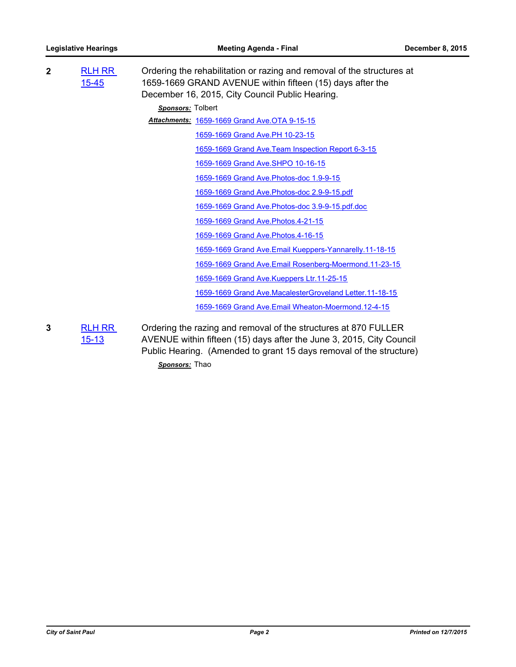| $\mathbf{2}$ | <b>RLH RR</b><br>$15 - 45$ | Ordering the rehabilitation or razing and removal of the structures at<br>1659-1669 GRAND AVENUE within fifteen (15) days after the<br>December 16, 2015, City Council Public Hearing.                         |
|--------------|----------------------------|----------------------------------------------------------------------------------------------------------------------------------------------------------------------------------------------------------------|
|              |                            | Sponsors: Tolbert                                                                                                                                                                                              |
|              |                            | Attachments: 1659-1669 Grand Ave.OTA 9-15-15                                                                                                                                                                   |
|              |                            | 1659-1669 Grand Ave.PH 10-23-15                                                                                                                                                                                |
|              |                            | 1659-1669 Grand Ave. Team Inspection Report 6-3-15                                                                                                                                                             |
|              |                            | 1659-1669 Grand Ave.SHPO 10-16-15                                                                                                                                                                              |
|              |                            | 1659-1669 Grand Ave. Photos-doc 1.9-9-15                                                                                                                                                                       |
|              |                            | 1659-1669 Grand Ave. Photos-doc 2.9-9-15.pdf                                                                                                                                                                   |
|              |                            | 1659-1669 Grand Ave.Photos-doc 3.9-9-15.pdf.doc                                                                                                                                                                |
|              |                            | 1659-1669 Grand Ave. Photos. 4-21-15                                                                                                                                                                           |
|              |                            | 1659-1669 Grand Ave. Photos. 4-16-15                                                                                                                                                                           |
|              |                            | 1659-1669 Grand Ave. Email Kueppers-Yannarelly. 11-18-15                                                                                                                                                       |
|              |                            | 1659-1669 Grand Ave.Email Rosenberg-Moermond.11-23-15                                                                                                                                                          |
|              |                            | 1659-1669 Grand Ave.Kueppers Ltr.11-25-15                                                                                                                                                                      |
|              |                            | 1659-1669 Grand Ave.MacalesterGroveland Letter.11-18-15                                                                                                                                                        |
|              |                            | 1659-1669 Grand Ave. Email Wheaton-Moermond. 12-4-15                                                                                                                                                           |
| 3            | <b>RLH RR</b><br>$15 - 13$ | Ordering the razing and removal of the structures at 870 FULLER<br>AVENUE within fifteen (15) days after the June 3, 2015, City Council<br>Public Hearing. (Amended to grant 15 days removal of the structure) |

*Sponsors:* Thao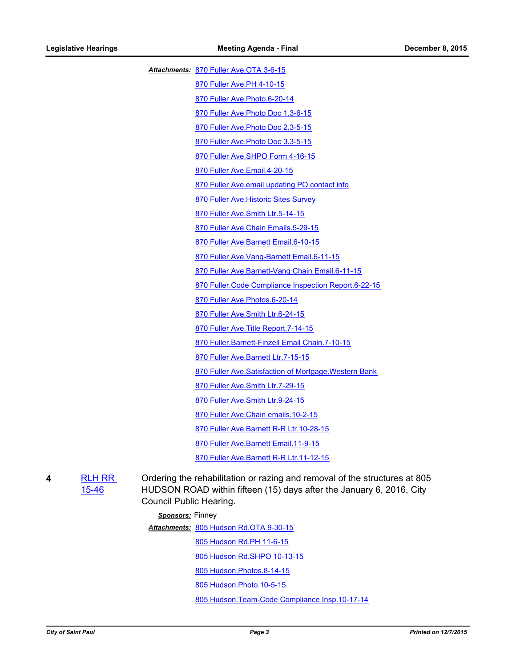[870 Fuller Ave.OTA 3-6-15](http://StPaul.legistar.com/gateway.aspx?M=F&ID=6d3e7ef2-2c1e-4c07-a6dd-1455779f2d89.pdf) *Attachments:*

[870 Fuller Ave.PH 4-10-15](http://StPaul.legistar.com/gateway.aspx?M=F&ID=ab616e82-df14-4f85-bdc7-d859591ad6af.pdf)

[870 Fuller Ave.Photo.6-20-14](http://StPaul.legistar.com/gateway.aspx?M=F&ID=fcd41e52-797f-4160-82b1-34936ca26512.pdf)

[870 Fuller Ave.Photo Doc 1.3-6-15](http://StPaul.legistar.com/gateway.aspx?M=F&ID=c527d861-4c82-4cfd-b2d0-d1429f82d1cf.pdf)

[870 Fuller Ave.Photo Doc 2.3-5-15](http://StPaul.legistar.com/gateway.aspx?M=F&ID=e057cc57-800c-4b9d-95b8-3be64554266a.pdf)

[870 Fuller Ave.Photo Doc 3.3-5-15](http://StPaul.legistar.com/gateway.aspx?M=F&ID=0abec3b1-274f-4355-9b0e-9be39fa3a992.pdf)

[870 Fuller Ave.SHPO Form 4-16-15](http://StPaul.legistar.com/gateway.aspx?M=F&ID=02b3257e-fe34-4962-9f21-586c0f97b30a.pdf)

[870 Fuller Ave.Email.4-20-15](http://StPaul.legistar.com/gateway.aspx?M=F&ID=4f4afa32-b491-44f8-adb0-22a01422c04f.pdf)

[870 Fuller Ave.email updating PO contact info](http://StPaul.legistar.com/gateway.aspx?M=F&ID=495531aa-a9f7-40a9-88a4-822314798909.pdf)

[870 Fuller Ave.Historic Sites Survey](http://StPaul.legistar.com/gateway.aspx?M=F&ID=bc293fb8-4246-49c7-bf37-e99c9dad6e4b.pdf)

[870 Fuller Ave.Smith Ltr.5-14-15](http://StPaul.legistar.com/gateway.aspx?M=F&ID=415f2938-1d65-4e94-a662-b6b935bf6e75.pdf)

[870 Fuller Ave.Chain Emails.5-29-15](http://StPaul.legistar.com/gateway.aspx?M=F&ID=11884330-2cad-4ffb-8f66-ecb05bb4141a.pdf)

[870 Fuller Ave.Barnett Email.6-10-15](http://StPaul.legistar.com/gateway.aspx?M=F&ID=18313457-a60a-4fb8-955c-864dbc2c1603.pdf)

[870 Fuller Ave.Vang-Barnett Email.6-11-15](http://StPaul.legistar.com/gateway.aspx?M=F&ID=d3af05a7-168a-491c-8d24-d7bc64548a42.pdf)

[870 Fuller Ave.Barnett-Vang Chain Email.6-11-15](http://StPaul.legistar.com/gateway.aspx?M=F&ID=e2f7970b-179e-4f62-886a-6b197a5ddf41.pdf)

[870 Fuller.Code Compliance Inspection Report.6-22-15](http://StPaul.legistar.com/gateway.aspx?M=F&ID=823989fc-8e9a-4f31-8064-04a57feba5b2.pdf)

[870 Fuller Ave.Photos.6-20-14](http://StPaul.legistar.com/gateway.aspx?M=F&ID=77a90dd3-5c51-4432-b94c-b1840d7abb7f.pdf)

[870 Fuller Ave.Smith Ltr.6-24-15](http://StPaul.legistar.com/gateway.aspx?M=F&ID=f884eb30-e5a5-4354-be4f-a9f0529c660e.doc)

[870 Fuller Ave.Title Report.7-14-15](http://StPaul.legistar.com/gateway.aspx?M=F&ID=3cf71de1-bf93-43e8-bc50-9281a56960b0.pdf)

[870 Fuller.Barnett-Finzell Email Chain.7-10-15](http://StPaul.legistar.com/gateway.aspx?M=F&ID=20d545c8-35f8-40ba-8e12-67340f85dfc2.pdf)

[870 Fuller Ave.Barnett Ltr.7-15-15](http://StPaul.legistar.com/gateway.aspx?M=F&ID=7c5a8d38-d3eb-4968-9498-bde3ccd9f7fd.doc)

[870 Fuller Ave.Satisfaction of Mortgage.Western Bank](http://StPaul.legistar.com/gateway.aspx?M=F&ID=3ad8eea7-a4f0-4bf1-a28c-fcf1e47f6016.pdf)

[870 Fuller Ave.Smith Ltr.7-29-15](http://StPaul.legistar.com/gateway.aspx?M=F&ID=53b245fa-0613-4640-af1e-4ef2b068869e.doc)

[870 Fuller Ave.Smith Ltr.9-24-15](http://StPaul.legistar.com/gateway.aspx?M=F&ID=58a95b0e-6beb-4733-94bd-0b4fe5d5f592.doc)

[870 Fuller Ave.Chain emails.10-2-15](http://StPaul.legistar.com/gateway.aspx?M=F&ID=9cda30d1-ad5c-4ba9-9061-563c466b43e9.pdf)

[870 Fuller Ave.Barnett R-R Ltr.10-28-15](http://StPaul.legistar.com/gateway.aspx?M=F&ID=f3ecb54a-11e4-4707-b140-8bebd2d0fd6b.doc)

[870 Fuller Ave.Barnett Email.11-9-15](http://StPaul.legistar.com/gateway.aspx?M=F&ID=f6cdacf7-7a91-4dff-8fd4-0aab557418b3.pdf)

[870 Fuller Ave.Barnett R-R Ltr.11-12-15](http://StPaul.legistar.com/gateway.aspx?M=F&ID=6fe571d4-c25c-4c5c-9ba2-de4d4f7c0a89.doc)

**4** [RLH RR](http://stpaul.legistar.com/gateway.aspx?m=l&id=/matter.aspx?key=20233)  15-46

Ordering the rehabilitation or razing and removal of the structures at 805 HUDSON ROAD within fifteen (15) days after the January 6, 2016, City Council Public Hearing.

#### *Sponsors:* Finney

[805 Hudson Rd.OTA 9-30-15](http://StPaul.legistar.com/gateway.aspx?M=F&ID=610e16c9-4bc5-4fd1-bacc-e4e20cc029b3.pdf) *Attachments:* [805 Hudson Rd.PH 11-6-15](http://StPaul.legistar.com/gateway.aspx?M=F&ID=70ab9c9a-a7c7-4efb-b305-61db34cdcb33.pdf) [805 Hudson Rd.SHPO 10-13-15](http://StPaul.legistar.com/gateway.aspx?M=F&ID=74e93216-4ac1-4284-a3bd-16418a154abf.pdf) [805 Hudson.Photos.8-14-15](http://StPaul.legistar.com/gateway.aspx?M=F&ID=dca39cb6-6308-4fb2-886c-ddac6c22e1e5.pdf) [805 Hudson.Photo.10-5-15](http://StPaul.legistar.com/gateway.aspx?M=F&ID=9fe75a20-59c1-4a34-9f13-5617281e2f46.pdf) [805 Hudson.Team-Code Compliance Insp.10-17-14](http://StPaul.legistar.com/gateway.aspx?M=F&ID=ce7f3792-8b6d-4c72-aea0-0fc1fd1d3838.pdf)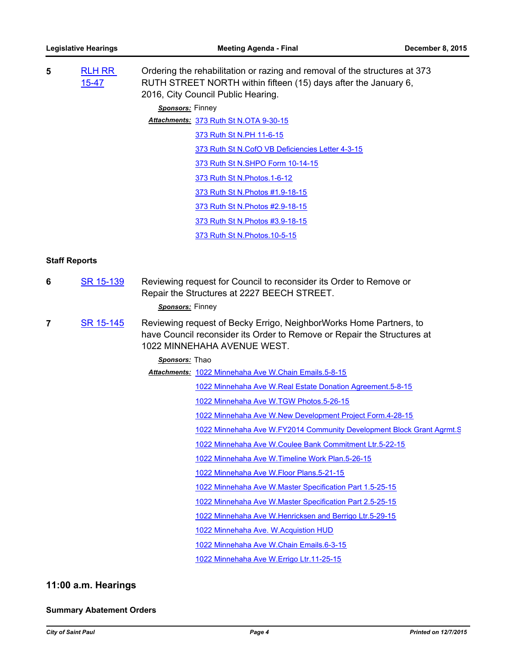| 5 | <b>RLH RR</b><br>$15 - 47$ | Ordering the rehabilitation or razing and removal of the structures at 373<br>RUTH STREET NORTH within fifteen (15) days after the January 6,<br>2016, City Council Public Hearing. |
|---|----------------------------|-------------------------------------------------------------------------------------------------------------------------------------------------------------------------------------|
|   |                            | Sponsors: Finney                                                                                                                                                                    |
|   |                            | Attachments: 373 Ruth St N.OTA 9-30-15                                                                                                                                              |
|   |                            | 373 Ruth St N.PH 11-6-15                                                                                                                                                            |
|   |                            | 373 Ruth St N.CofO VB Deficiencies Letter 4-3-15                                                                                                                                    |
|   |                            | 373 Ruth St N.SHPO Form 10-14-15                                                                                                                                                    |
|   |                            | 373 Ruth St N. Photos. 1-6-12                                                                                                                                                       |
|   |                            | 373 Ruth St N. Photos #1.9-18-15                                                                                                                                                    |
|   |                            | 373 Ruth St N. Photos #2.9-18-15                                                                                                                                                    |
|   |                            | 373 Ruth St N. Photos #3.9-18-15                                                                                                                                                    |
|   |                            | 373 Ruth St N. Photos. 10-5-15                                                                                                                                                      |

# **Staff Reports**

**6** [SR 15-139](http://stpaul.legistar.com/gateway.aspx?m=l&id=/matter.aspx?key=20232) Reviewing request for Council to reconsider its Order to Remove or Repair the Structures at 2227 BEECH STREET.

### *Sponsors:* Finney

**7** [SR 15-145](http://stpaul.legistar.com/gateway.aspx?m=l&id=/matter.aspx?key=20371) Reviewing request of Becky Errigo, NeighborWorks Home Partners, to have Council reconsider its Order to Remove or Repair the Structures at 1022 MINNEHAHA AVENUE WEST.

# *Sponsors:* Thao

Attachments: [1022 Minnehaha Ave W.Chain Emails.5-8-15](http://StPaul.legistar.com/gateway.aspx?M=F&ID=9eae342c-2457-4360-9395-58d2900d2398.pdf)

- [1022 Minnehaha Ave W.Real Estate Donation Agreement.5-8-15](http://StPaul.legistar.com/gateway.aspx?M=F&ID=c91429bf-8a68-4fde-99a8-f494cd339024.pdf)
	- [1022 Minnehaha Ave W.TGW Photos.5-26-15](http://StPaul.legistar.com/gateway.aspx?M=F&ID=e107e494-f851-49c8-b906-b8d48d9f5767.pdf)
	- [1022 Minnehaha Ave W.New Development Project Form.4-28-15](http://StPaul.legistar.com/gateway.aspx?M=F&ID=4ba5f29d-04f9-4516-aea1-e964bb485e16.pdf)

[1022 Minnehaha Ave W.FY2014 Community Development Block Grant Agrmt.S](http://StPaul.legistar.com/gateway.aspx?M=F&ID=d5ca1ac1-ea70-4650-bdf2-aa5f944a3742.pdf)

- [1022 Minnehaha Ave W.Coulee Bank Commitment Ltr.5-22-15](http://StPaul.legistar.com/gateway.aspx?M=F&ID=8f97e5e9-bf9f-4377-81d3-675245a529aa.pdf)
- [1022 Minnehaha Ave W.Timeline Work Plan.5-26-15](http://StPaul.legistar.com/gateway.aspx?M=F&ID=05d4fe87-f7a7-46fc-bf53-30502bfb74d6.pdf)

[1022 Minnehaha Ave W.Floor Plans.5-21-15](http://StPaul.legistar.com/gateway.aspx?M=F&ID=84a2482f-55f9-45e7-bd74-11ae26dcd5cb.pdf)

[1022 Minnehaha Ave W.Master Specification Part 1.5-25-15](http://StPaul.legistar.com/gateway.aspx?M=F&ID=c8444085-dbae-475e-994b-fcc8bcab94ab.pdf)

[1022 Minnehaha Ave W.Master Specification Part 2.5-25-15](http://StPaul.legistar.com/gateway.aspx?M=F&ID=7c841061-f0d8-4d35-9ff7-8ee9b1cc5374.pdf)

[1022 Minnehaha Ave W.Henricksen and Berrigo Ltr.5-29-15](http://StPaul.legistar.com/gateway.aspx?M=F&ID=7ffd4d6b-511b-46b9-a9f2-32cce9c3affb.doc)

[1022 Minnehaha Ave. W.Acquistion HUD](http://StPaul.legistar.com/gateway.aspx?M=F&ID=18399881-8abb-43b8-95c2-a67ad5b0be10.pdf)

[1022 Minnehaha Ave W.Chain Emails.6-3-15](http://StPaul.legistar.com/gateway.aspx?M=F&ID=31eda2d4-c964-43d7-88d8-fdb58ab02342.pdf)

[1022 Minnehaha Ave W.Errigo Ltr.11-25-15](http://StPaul.legistar.com/gateway.aspx?M=F&ID=f78e0936-3e0a-420f-889b-df6453bde74d.doc)

# **11:00 a.m. Hearings**

### **Summary Abatement Orders**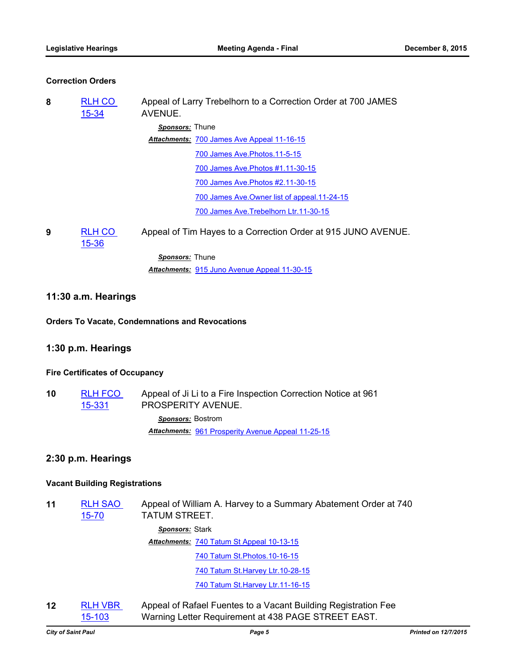# **Correction Orders**

| 8                                    | <b>RLH CO</b><br>$15 - 34$            | Appeal of Larry Trebelhorn to a Correction Order at 700 JAMES<br>AVENUE.            |  |  |
|--------------------------------------|---------------------------------------|-------------------------------------------------------------------------------------|--|--|
|                                      |                                       | <b>Sponsors:</b> Thune                                                              |  |  |
|                                      |                                       | Attachments: 700 James Ave Appeal 11-16-15                                          |  |  |
|                                      |                                       | 700 James Ave. Photos. 11-5-15                                                      |  |  |
|                                      |                                       | 700 James Ave. Photos #1.11-30-15                                                   |  |  |
|                                      |                                       | 700 James Ave. Photos #2.11-30-15                                                   |  |  |
|                                      |                                       | 700 James Ave. Owner list of appeal. 11-24-15                                       |  |  |
|                                      |                                       | 700 James Ave. Trebelhorn Ltr. 11-30-15                                             |  |  |
| 9                                    | <b>RLH CO</b><br>$15 - 36$            | Appeal of Tim Hayes to a Correction Order at 915 JUNO AVENUE.                       |  |  |
|                                      |                                       | Sponsors: Thune                                                                     |  |  |
|                                      |                                       | Attachments: 915 Juno Avenue Appeal 11-30-15                                        |  |  |
| 11:30 a.m. Hearings                  |                                       |                                                                                     |  |  |
|                                      |                                       | <b>Orders To Vacate, Condemnations and Revocations</b>                              |  |  |
| 1:30 p.m. Hearings                   |                                       |                                                                                     |  |  |
|                                      | <b>Fire Certificates of Occupancy</b> |                                                                                     |  |  |
| 10                                   | <b>RLH FCO</b><br>15-331              | Appeal of Ji Li to a Fire Inspection Correction Notice at 961<br>PROSPERITY AVENUE. |  |  |
|                                      |                                       | Sponsors: Bostrom                                                                   |  |  |
|                                      |                                       | Attachments: 961 Prosperity Avenue Appeal 11-25-15                                  |  |  |
| 2:30 p.m. Hearings                   |                                       |                                                                                     |  |  |
| <b>Vacant Building Registrations</b> |                                       |                                                                                     |  |  |
| 11                                   | <b>RLH SAO</b><br>$15 - 70$           | Appeal of William A. Harvey to a Summary Abatement Order at 740<br>TATUM STREET.    |  |  |

*Sponsors:* Stark

[740 Tatum St Appeal 10-13-15](http://StPaul.legistar.com/gateway.aspx?M=F&ID=afc65f22-1e91-40ec-8d84-73630c77b413.pdf) *Attachments:*

[740 Tatum St.Photos.10-16-15](http://StPaul.legistar.com/gateway.aspx?M=F&ID=7bfa083c-9106-4269-9017-d9d59b77ba27.pdf)

[740 Tatum St.Harvey Ltr.10-28-15](http://StPaul.legistar.com/gateway.aspx?M=F&ID=fba38d51-ae3e-4bd7-8990-b6ce8a2381a2.doc)

[740 Tatum St.Harvey Ltr.11-16-15](http://StPaul.legistar.com/gateway.aspx?M=F&ID=0d1bdd79-4b68-4e68-b3e1-a88d9d930d36.doc)

**12** [RLH VBR](http://stpaul.legistar.com/gateway.aspx?m=l&id=/matter.aspx?key=20458)  15-103 Appeal of Rafael Fuentes to a Vacant Building Registration Fee Warning Letter Requirement at 438 PAGE STREET EAST.